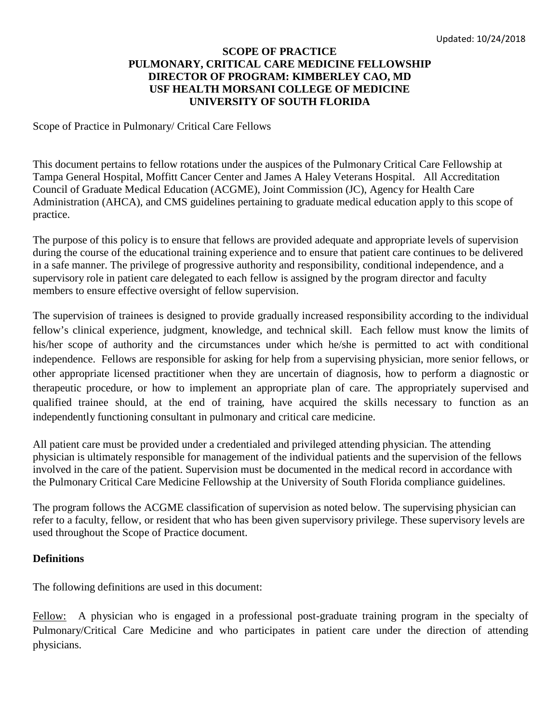## **SCOPE OF PRACTICE PULMONARY, CRITICAL CARE MEDICINE FELLOWSHIP DIRECTOR OF PROGRAM: KIMBERLEY CAO, MD USF HEALTH MORSANI COLLEGE OF MEDICINE UNIVERSITY OF SOUTH FLORIDA**

Scope of Practice in Pulmonary/ Critical Care Fellows

This document pertains to fellow rotations under the auspices of the Pulmonary Critical Care Fellowship at Tampa General Hospital, Moffitt Cancer Center and James A Haley Veterans Hospital. All Accreditation Council of Graduate Medical Education (ACGME), Joint Commission (JC), Agency for Health Care Administration (AHCA), and CMS guidelines pertaining to graduate medical education apply to this scope of practice.

The purpose of this policy is to ensure that fellows are provided adequate and appropriate levels of supervision during the course of the educational training experience and to ensure that patient care continues to be delivered in a safe manner. The privilege of progressive authority and responsibility, conditional independence, and a supervisory role in patient care delegated to each fellow is assigned by the program director and faculty members to ensure effective oversight of fellow supervision.

The supervision of trainees is designed to provide gradually increased responsibility according to the individual fellow's clinical experience, judgment, knowledge, and technical skill. Each fellow must know the limits of his/her scope of authority and the circumstances under which he/she is permitted to act with conditional independence. Fellows are responsible for asking for help from a supervising physician, more senior fellows, or other appropriate licensed practitioner when they are uncertain of diagnosis, how to perform a diagnostic or therapeutic procedure, or how to implement an appropriate plan of care. The appropriately supervised and qualified trainee should, at the end of training, have acquired the skills necessary to function as an independently functioning consultant in pulmonary and critical care medicine.

All patient care must be provided under a credentialed and privileged attending physician. The attending physician is ultimately responsible for management of the individual patients and the supervision of the fellows involved in the care of the patient. Supervision must be documented in the medical record in accordance with the Pulmonary Critical Care Medicine Fellowship at the University of South Florida compliance guidelines.

The program follows the ACGME classification of supervision as noted below. The supervising physician can refer to a faculty, fellow, or resident that who has been given supervisory privilege. These supervisory levels are used throughout the Scope of Practice document.

#### **Definitions**

The following definitions are used in this document:

Fellow: A physician who is engaged in a professional post-graduate training program in the specialty of Pulmonary/Critical Care Medicine and who participates in patient care under the direction of attending physicians.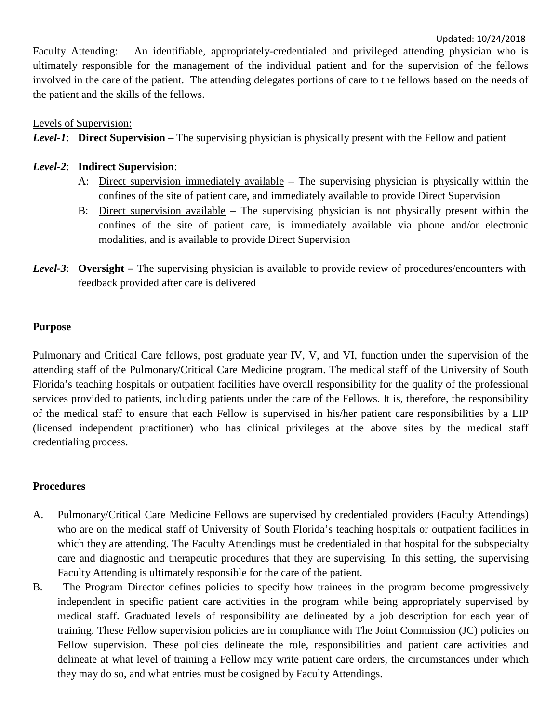Faculty Attending: An identifiable, appropriately-credentialed and privileged attending physician who is ultimately responsible for the management of the individual patient and for the supervision of the fellows involved in the care of the patient. The attending delegates portions of care to the fellows based on the needs of the patient and the skills of the fellows.

# Levels of Supervision:

*Level-1*: **Direct Supervision** – The supervising physician is physically present with the Fellow and patient

# *Level-2*: **Indirect Supervision**:

- A: Direct supervision immediately available The supervising physician is physically within the confines of the site of patient care, and immediately available to provide Direct Supervision
- B: Direct supervision available The supervising physician is not physically present within the confines of the site of patient care, is immediately available via phone and/or electronic modalities, and is available to provide Direct Supervision
- *Level-3*: **Oversight –** The supervising physician is available to provide review of procedures/encounters with feedback provided after care is delivered

# **Purpose**

Pulmonary and Critical Care fellows, post graduate year IV, V, and VI, function under the supervision of the attending staff of the Pulmonary/Critical Care Medicine program. The medical staff of the University of South Florida's teaching hospitals or outpatient facilities have overall responsibility for the quality of the professional services provided to patients, including patients under the care of the Fellows. It is, therefore, the responsibility of the medical staff to ensure that each Fellow is supervised in his/her patient care responsibilities by a LIP (licensed independent practitioner) who has clinical privileges at the above sites by the medical staff credentialing process.

# **Procedures**

- A. Pulmonary/Critical Care Medicine Fellows are supervised by credentialed providers (Faculty Attendings) who are on the medical staff of University of South Florida's teaching hospitals or outpatient facilities in which they are attending. The Faculty Attendings must be credentialed in that hospital for the subspecialty care and diagnostic and therapeutic procedures that they are supervising. In this setting, the supervising Faculty Attending is ultimately responsible for the care of the patient.
- B. The Program Director defines policies to specify how trainees in the program become progressively independent in specific patient care activities in the program while being appropriately supervised by medical staff. Graduated levels of responsibility are delineated by a job description for each year of training. These Fellow supervision policies are in compliance with The Joint Commission (JC) policies on Fellow supervision. These policies delineate the role, responsibilities and patient care activities and delineate at what level of training a Fellow may write patient care orders, the circumstances under which they may do so, and what entries must be cosigned by Faculty Attendings.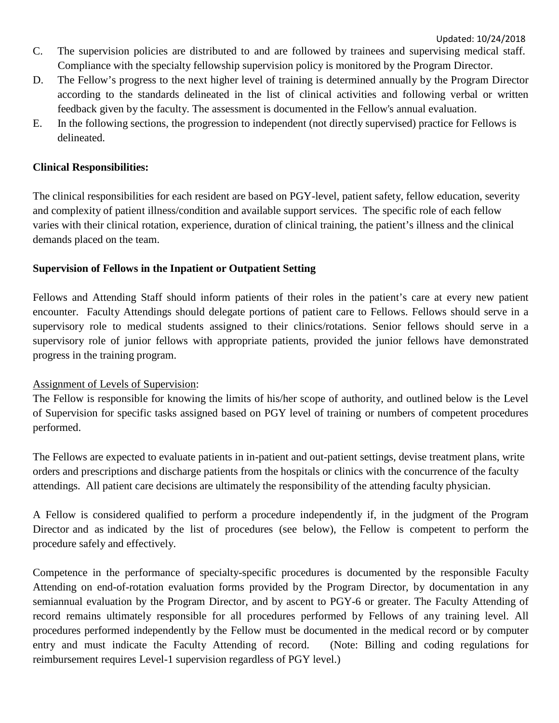- C. The supervision policies are distributed to and are followed by trainees and supervising medical staff. Compliance with the specialty fellowship supervision policy is monitored by the Program Director.
- D. The Fellow's progress to the next higher level of training is determined annually by the Program Director according to the standards delineated in the list of clinical activities and following verbal or written feedback given by the faculty. The assessment is documented in the Fellow's annual evaluation.
- E. In the following sections, the progression to independent (not directly supervised) practice for Fellows is delineated.

## **Clinical Responsibilities:**

The clinical responsibilities for each resident are based on PGY-level, patient safety, fellow education, severity and complexity of patient illness/condition and available support services. The specific role of each fellow varies with their clinical rotation, experience, duration of clinical training, the patient's illness and the clinical demands placed on the team.

### **Supervision of Fellows in the Inpatient or Outpatient Setting**

Fellows and Attending Staff should inform patients of their roles in the patient's care at every new patient encounter. Faculty Attendings should delegate portions of patient care to Fellows. Fellows should serve in a supervisory role to medical students assigned to their clinics/rotations. Senior fellows should serve in a supervisory role of junior fellows with appropriate patients, provided the junior fellows have demonstrated progress in the training program.

#### Assignment of Levels of Supervision:

The Fellow is responsible for knowing the limits of his/her scope of authority, and outlined below is the Level of Supervision for specific tasks assigned based on PGY level of training or numbers of competent procedures performed.

The Fellows are expected to evaluate patients in in-patient and out-patient settings, devise treatment plans, write orders and prescriptions and discharge patients from the hospitals or clinics with the concurrence of the faculty attendings. All patient care decisions are ultimately the responsibility of the attending faculty physician.

A Fellow is considered qualified to perform a procedure independently if, in the judgment of the Program Director and as indicated by the list of procedures (see below), the Fellow is competent to perform the procedure safely and effectively.

Competence in the performance of specialty-specific procedures is documented by the responsible Faculty Attending on end-of-rotation evaluation forms provided by the Program Director, by documentation in any semiannual evaluation by the Program Director, and by ascent to PGY-6 or greater. The Faculty Attending of record remains ultimately responsible for all procedures performed by Fellows of any training level. All procedures performed independently by the Fellow must be documented in the medical record or by computer entry and must indicate the Faculty Attending of record. (Note: Billing and coding regulations for reimbursement requires Level-1 supervision regardless of PGY level.)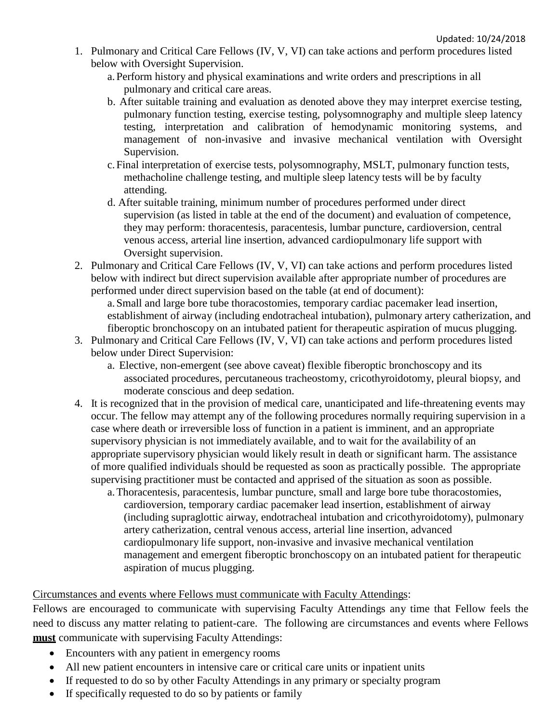- 1. Pulmonary and Critical Care Fellows (IV, V, VI) can take actions and perform procedures listed below with Oversight Supervision.
	- a.Perform history and physical examinations and write orders and prescriptions in all pulmonary and critical care areas.
	- b. After suitable training and evaluation as denoted above they may interpret exercise testing, pulmonary function testing, exercise testing, polysomnography and multiple sleep latency testing, interpretation and calibration of hemodynamic monitoring systems, and management of non-invasive and invasive mechanical ventilation with Oversight Supervision.
	- c.Final interpretation of exercise tests, polysomnography, MSLT, pulmonary function tests, methacholine challenge testing, and multiple sleep latency tests will be by faculty attending.
	- d. After suitable training, minimum number of procedures performed under direct supervision (as listed in table at the end of the document) and evaluation of competence, they may perform: thoracentesis, paracentesis, lumbar puncture, cardioversion, central venous access, arterial line insertion, advanced cardiopulmonary life support with Oversight supervision.
- 2. Pulmonary and Critical Care Fellows (IV, V, VI) can take actions and perform procedures listed below with indirect but direct supervision available after appropriate number of procedures are performed under direct supervision based on the table (at end of document):

a.Small and large bore tube thoracostomies, temporary cardiac pacemaker lead insertion, establishment of airway (including endotracheal intubation), pulmonary artery catherization, and fiberoptic bronchoscopy on an intubated patient for therapeutic aspiration of mucus plugging.

- 3. Pulmonary and Critical Care Fellows (IV, V, VI) can take actions and perform procedures listed below under Direct Supervision:
	- a. Elective, non-emergent (see above caveat) flexible fiberoptic bronchoscopy and its associated procedures, percutaneous tracheostomy, cricothyroidotomy, pleural biopsy, and moderate conscious and deep sedation.
- 4. It is recognized that in the provision of medical care, unanticipated and life-threatening events may occur. The fellow may attempt any of the following procedures normally requiring supervision in a case where death or irreversible loss of function in a patient is imminent, and an appropriate supervisory physician is not immediately available, and to wait for the availability of an appropriate supervisory physician would likely result in death or significant harm. The assistance of more qualified individuals should be requested as soon as practically possible. The appropriate supervising practitioner must be contacted and apprised of the situation as soon as possible.
	- a.Thoracentesis, paracentesis, lumbar puncture, small and large bore tube thoracostomies, cardioversion, temporary cardiac pacemaker lead insertion, establishment of airway (including supraglottic airway, endotracheal intubation and cricothyroidotomy), pulmonary artery catherization, central venous access, arterial line insertion, advanced cardiopulmonary life support, non-invasive and invasive mechanical ventilation management and emergent fiberoptic bronchoscopy on an intubated patient for therapeutic aspiration of mucus plugging.

# Circumstances and events where Fellows must communicate with Faculty Attendings:

Fellows are encouraged to communicate with supervising Faculty Attendings any time that Fellow feels the need to discuss any matter relating to patient-care. The following are circumstances and events where Fellows **must** communicate with supervising Faculty Attendings:

- Encounters with any patient in emergency rooms
- All new patient encounters in intensive care or critical care units or inpatient units
- If requested to do so by other Faculty Attendings in any primary or specialty program
- If specifically requested to do so by patients or family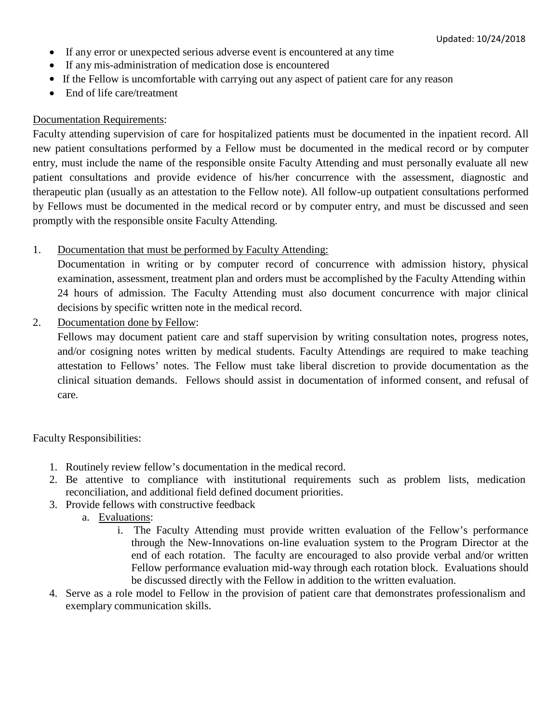- If any error or unexpected serious adverse event is encountered at any time
- If any mis-administration of medication dose is encountered
- If the Fellow is uncomfortable with carrying out any aspect of patient care for any reason
- End of life care/treatment

### Documentation Requirements:

Faculty attending supervision of care for hospitalized patients must be documented in the inpatient record. All new patient consultations performed by a Fellow must be documented in the medical record or by computer entry, must include the name of the responsible onsite Faculty Attending and must personally evaluate all new patient consultations and provide evidence of his/her concurrence with the assessment, diagnostic and therapeutic plan (usually as an attestation to the Fellow note). All follow-up outpatient consultations performed by Fellows must be documented in the medical record or by computer entry, and must be discussed and seen promptly with the responsible onsite Faculty Attending.

1. Documentation that must be performed by Faculty Attending:

Documentation in writing or by computer record of concurrence with admission history, physical examination, assessment, treatment plan and orders must be accomplished by the Faculty Attending within 24 hours of admission. The Faculty Attending must also document concurrence with major clinical decisions by specific written note in the medical record.

2. Documentation done by Fellow:

Fellows may document patient care and staff supervision by writing consultation notes, progress notes, and/or cosigning notes written by medical students. Faculty Attendings are required to make teaching attestation to Fellows' notes. The Fellow must take liberal discretion to provide documentation as the clinical situation demands. Fellows should assist in documentation of informed consent, and refusal of care.

Faculty Responsibilities:

- 1. Routinely review fellow's documentation in the medical record.
- 2. Be attentive to compliance with institutional requirements such as problem lists, medication reconciliation, and additional field defined document priorities.
- 3. Provide fellows with constructive feedback
	- a. Evaluations:
		- i. The Faculty Attending must provide written evaluation of the Fellow's performance through the New-Innovations on-line evaluation system to the Program Director at the end of each rotation. The faculty are encouraged to also provide verbal and/or written Fellow performance evaluation mid-way through each rotation block. Evaluations should be discussed directly with the Fellow in addition to the written evaluation.
- 4. Serve as a role model to Fellow in the provision of patient care that demonstrates professionalism and exemplary communication skills.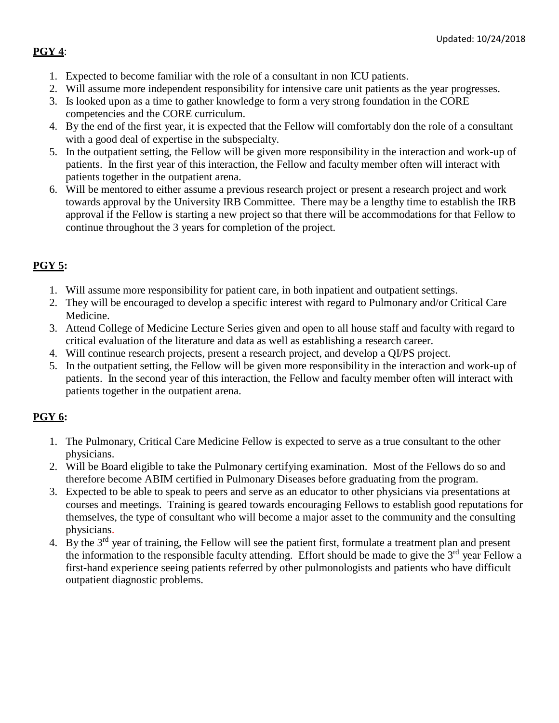# **PGY 4**:

- 1. Expected to become familiar with the role of a consultant in non ICU patients.
- 2. Will assume more independent responsibility for intensive care unit patients as the year progresses.
- 3. Is looked upon as a time to gather knowledge to form a very strong foundation in the CORE competencies and the CORE curriculum.
- 4. By the end of the first year, it is expected that the Fellow will comfortably don the role of a consultant with a good deal of expertise in the subspecialty.
- 5. In the outpatient setting, the Fellow will be given more responsibility in the interaction and work-up of patients. In the first year of this interaction, the Fellow and faculty member often will interact with patients together in the outpatient arena.
- 6. Will be mentored to either assume a previous research project or present a research project and work towards approval by the University IRB Committee. There may be a lengthy time to establish the IRB approval if the Fellow is starting a new project so that there will be accommodations for that Fellow to continue throughout the 3 years for completion of the project.

# **PGY 5:**

- 1. Will assume more responsibility for patient care, in both inpatient and outpatient settings.
- 2. They will be encouraged to develop a specific interest with regard to Pulmonary and/or Critical Care Medicine.
- 3. Attend College of Medicine Lecture Series given and open to all house staff and faculty with regard to critical evaluation of the literature and data as well as establishing a research career.
- 4. Will continue research projects, present a research project, and develop a QI/PS project.
- 5. In the outpatient setting, the Fellow will be given more responsibility in the interaction and work-up of patients. In the second year of this interaction, the Fellow and faculty member often will interact with patients together in the outpatient arena.

# **PGY 6:**

- 1. The Pulmonary, Critical Care Medicine Fellow is expected to serve as a true consultant to the other physicians.
- 2. Will be Board eligible to take the Pulmonary certifying examination. Most of the Fellows do so and therefore become ABIM certified in Pulmonary Diseases before graduating from the program.
- 3. Expected to be able to speak to peers and serve as an educator to other physicians via presentations at courses and meetings. Training is geared towards encouraging Fellows to establish good reputations for themselves, the type of consultant who will become a major asset to the community and the consulting physicians.
- 4. By the  $3<sup>rd</sup>$  year of training, the Fellow will see the patient first, formulate a treatment plan and present the information to the responsible faculty attending. Effort should be made to give the  $3<sup>rd</sup>$  year Fellow a first-hand experience seeing patients referred by other pulmonologists and patients who have difficult outpatient diagnostic problems.